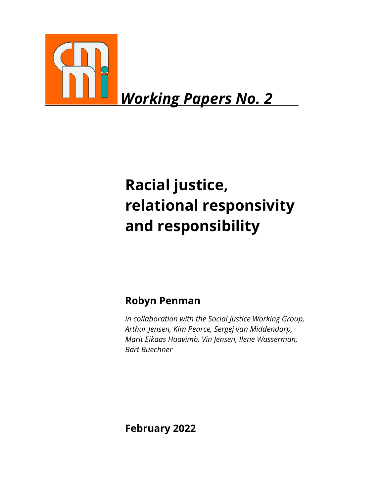

# *Working Papers No. 2*

# **Racial justice, relational responsivity and responsibility**

# **Robyn Penman**

*in collaboration with the Social Justice Working Group, Arthur Jensen, Kim Pearce, Sergej van Middendorp, Marit Eikaas Haavimb, Vin Jensen, Ilene Wasserman, Bart Buechner*

**February 2022**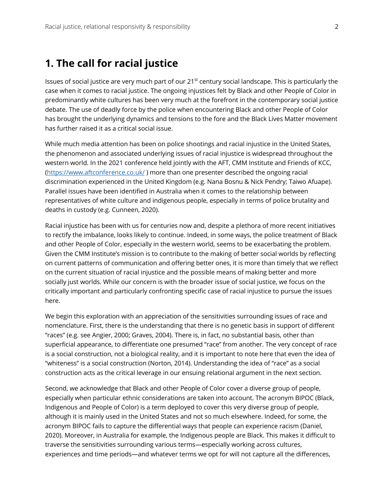# **1. The call for racial justice**

Issues of social justice are very much part of our 21<sup>st</sup> century social landscape. This is particularly the case when it comes to racial justice. The ongoing injustices felt by Black and other People of Color in predominantly white cultures has been very much at the forefront in the contemporary social justice debate. The use of deadly force by the police when encountering Black and other People of Color has brought the underlying dynamics and tensions to the fore and the Black Lives Matter movement has further raised it as a critical social issue.

While much media attention has been on police shootings and racial injustice in the United States, the phenomenon and associated underlying issues of racial injustice is widespread throughout the western world. In the 2021 conference held jointly with the AFT, CMM Institute and Friends of KCC, (https://www.aftconference.co.uk/) more than one presenter described the ongoing racial discrimination experienced in the United Kingdom (e.g. Nana Bosnu & Nick Pendry; Taiwo Afuape). Parallel issues have been identified in Australia when it comes to the relationship between representatives of white culture and indigenous people, especially in terms of police brutality and deaths in custody (e.g. Cunneen, 2020).

Racial injustice has been with us for centuries now and, despite a plethora of more recent initiatives to rectify the imbalance, looks likely to continue. Indeed, in some ways, the police treatment of Black and other People of Color, especially in the western world, seems to be exacerbating the problem. Given the CMM Institute's mission is to contribute to the making of better social worlds by reflecting on current patterns of communication and offering better ones, it is more than timely that we reflect on the current situation of racial injustice and the possible means of making better and more socially just worlds. While our concern is with the broader issue of social justice, we focus on the critically important and particularly confronting specific case of racial injustice to pursue the issues here.

We begin this exploration with an appreciation of the sensitivities surrounding issues of race and nomenclature. First, there is the understanding that there is no genetic basis in support of different "races" (e.g. see Angier, 2000; Graves, 2004). There is, in fact, no substantial basis, other than superficial appearance, to differentiate one presumed "race" from another. The very concept of race is a social construction, not a biological reality, and it is important to note here that even the idea of "whiteness" is a social construction (Norton, 2014). Understanding the idea of "race" as a social construction acts as the critical leverage in our ensuing relational argument in the next section.

Second, we acknowledge that Black and other People of Color cover a diverse group of people, especially when particular ethnic considerations are taken into account. The acronym BIPOC (Black, Indigenous and People of Color) is a term deployed to cover this very diverse group of people, although it is mainly used in the United States and not so much elsewhere. Indeed, for some, the acronym BIPOC fails to capture the differential ways that people can experience racism (Daniel, 2020). Moreover, in Australia for example, the Indigenous people are Black. This makes it difficult to traverse the sensitivities surrounding various terms—especially working across cultures, experiences and time periods—and whatever terms we opt for will not capture all the differences,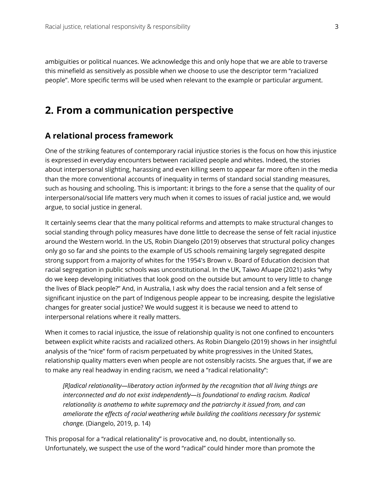ambiguities or political nuances. We acknowledge this and only hope that we are able to traverse this minefield as sensitively as possible when we choose to use the descriptor term "racialized people". More specific terms will be used when relevant to the example or particular argument.

## **2. From a communication perspective**

#### **A relational process framework**

One of the striking features of contemporary racial injustice stories is the focus on how this injustice is expressed in everyday encounters between racialized people and whites. Indeed, the stories about interpersonal slighting, harassing and even killing seem to appear far more often in the media than the more conventional accounts of inequality in terms of standard social standing measures, such as housing and schooling. This is important: it brings to the fore a sense that the quality of our interpersonal/social life matters very much when it comes to issues of racial justice and, we would argue, to social justice in general.

It certainly seems clear that the many political reforms and attempts to make structural changes to social standing through policy measures have done little to decrease the sense of felt racial injustice around the Western world. In the US, Robin Diangelo (2019) observes that structural policy changes only go so far and she points to the example of US schools remaining largely segregated despite strong support from a majority of whites for the 1954's Brown v. Board of Education decision that racial segregation in public schools was unconstitutional. In the UK, Taiwo Afuape (2021) asks "why do we keep developing initiatives that look good on the outside but amount to very little to change the lives of Black people?" And, in Australia, I ask why does the racial tension and a felt sense of significant injustice on the part of Indigenous people appear to be increasing, despite the legislative changes for greater social justice? We would suggest it is because we need to attend to interpersonal relations where it really matters.

When it comes to racial injustice, the issue of relationship quality is not one confined to encounters between explicit white racists and racialized others. As Robin Diangelo (2019) shows in her insightful analysis of the "nice" form of racism perpetuated by white progressives in the United States, relationship quality matters even when people are not ostensibly racists. She argues that, if we are to make any real headway in ending racism, we need a "radical relationality":

*[R]adical relationality—liberatory action informed by the recognition that all living things are interconnected and do not exist independently—is foundational to ending racism. Radical relationality is anathema to white supremacy and the patriarchy it issued from, and can ameliorate the effects of racial weathering while building the coalitions necessary for systemic change.* (Diangelo, 2019, p. 14)

This proposal for a "radical relationality" is provocative and, no doubt, intentionally so. Unfortunately, we suspect the use of the word "radical" could hinder more than promote the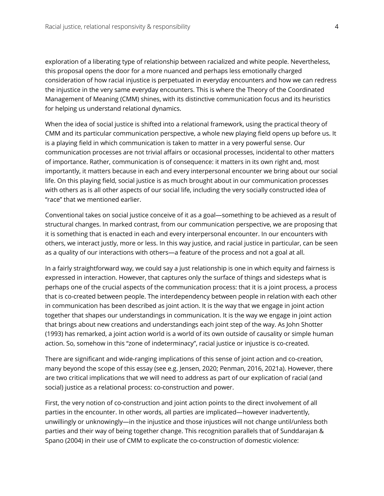exploration of a liberating type of relationship between racialized and white people. Nevertheless, this proposal opens the door for a more nuanced and perhaps less emotionally charged consideration of how racial injustice is perpetuated in everyday encounters and how we can redress the injustice in the very same everyday encounters. This is where the Theory of the Coordinated Management of Meaning (CMM) shines, with its distinctive communication focus and its heuristics for helping us understand relational dynamics.

When the idea of social justice is shifted into a relational framework, using the practical theory of CMM and its particular communication perspective, a whole new playing field opens up before us. It is a playing field in which communication is taken to matter in a very powerful sense. Our communication processes are not trivial affairs or occasional processes, incidental to other matters of importance. Rather, communication is of consequence: it matters in its own right and, most importantly, it matters because in each and every interpersonal encounter we bring about our social life. On this playing field, social justice is as much brought about in our communication processes with others as is all other aspects of our social life, including the very socially constructed idea of "race" that we mentioned earlier.

Conventional takes on social justice conceive of it as a goal—something to be achieved as a result of structural changes. In marked contrast, from our communication perspective, we are proposing that it is something that is enacted in each and every interpersonal encounter. In our encounters with others, we interact justly, more or less. In this way justice, and racial justice in particular, can be seen as a quality of our interactions with others—a feature of the process and not a goal at all.

In a fairly straightforward way, we could say a just relationship is one in which equity and fairness is expressed in interaction. However, that captures only the surface of things and sidesteps what is perhaps one of the crucial aspects of the communication process: that it is a joint process, a process that is co-created between people. The interdependency between people in relation with each other in communication has been described as joint action. It is the way that we engage in joint action together that shapes our understandings in communication. It is the way we engage in joint action that brings about new creations and understandings each joint step of the way. As John Shotter (1993) has remarked, a joint action world is a world of its own outside of causality or simple human action. So, somehow in this "zone of indeterminacy", racial justice or injustice is co-created.

There are significant and wide-ranging implications of this sense of joint action and co-creation, many beyond the scope of this essay (see e.g. Jensen, 2020; Penman, 2016, 2021a). However, there are two critical implications that we will need to address as part of our explication of racial (and social) justice as a relational process: co-construction and power.

First, the very notion of co-construction and joint action points to the direct involvement of all parties in the encounter. In other words, all parties are implicated—however inadvertently, unwillingly or unknowingly—in the injustice and those injustices will not change until/unless both parties and their way of being together change. This recognition parallels that of Sunddarajan & Spano (2004) in their use of CMM to explicate the co-construction of domestic violence: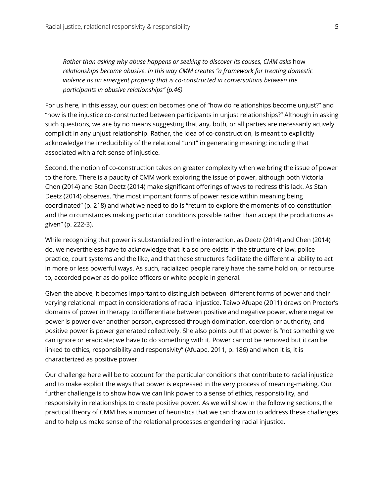*Rather than asking why abuse happens or seeking to discover its causes, CMM asks* how *relationships become abusive. In this way CMM creates "a framework for treating domestic violence as an emergent property that is co-constructed in conversations between the participants in abusive relationships" (p.46)* 

For us here, in this essay, our question becomes one of "how do relationships become unjust?" and "how is the injustice co-constructed between participants in unjust relationships?" Although in asking such questions, we are by no means suggesting that any, both, or all parties are necessarily actively complicit in any unjust relationship. Rather, the idea of co-construction, is meant to explicitly acknowledge the irreducibility of the relational "unit" in generating meaning; including that associated with a felt sense of injustice.

Second, the notion of co-construction takes on greater complexity when we bring the issue of power to the fore. There is a paucity of CMM work exploring the issue of power, although both Victoria Chen (2014) and Stan Deetz (2014) make significant offerings of ways to redress this lack. As Stan Deetz (2014) observes, "the most important forms of power reside within meaning being coordinated" (p. 218) and what we need to do is "return to explore the moments of co-constitution and the circumstances making particular conditions possible rather than accept the productions as given" (p. 222-3).

While recognizing that power is substantialized in the interaction, as Deetz (2014) and Chen (2014) do, we nevertheless have to acknowledge that it also pre-exists in the structure of law, police practice, court systems and the like, and that these structures facilitate the differential ability to act in more or less powerful ways. As such, racialized people rarely have the same hold on, or recourse to, accorded power as do police officers or white people in general.

Given the above, it becomes important to distinguish between different forms of power and their varying relational impact in considerations of racial injustice. Taiwo Afuape (2011) draws on Proctor's domains of power in therapy to differentiate between positive and negative power, where negative power is power over another person, expressed through domination, coercion or authority, and positive power is power generated collectively. She also points out that power is "not something we can ignore or eradicate; we have to do something with it. Power cannot be removed but it can be linked to ethics, responsibility and responsivity" (Afuape, 2011, p. 186) and when it is, it is characterized as positive power.

Our challenge here will be to account for the particular conditions that contribute to racial injustice and to make explicit the ways that power is expressed in the very process of meaning-making. Our further challenge is to show how we can link power to a sense of ethics, responsibility, and responsivity in relationships to create positive power. As we will show in the following sections, the practical theory of CMM has a number of heuristics that we can draw on to address these challenges and to help us make sense of the relational processes engendering racial injustice.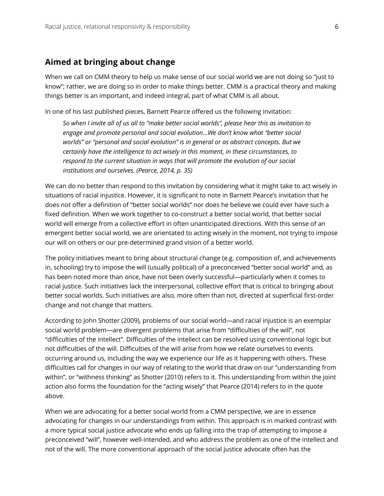### **Aimed at bringing about change**

When we call on CMM theory to help us make sense of our social world we are not doing so "just to know"; rather, we are doing so in order to make things better. CMM is a practical theory and making things better is an important, and indeed integral, part of what CMM is all about.

In one of his last published pieces, Barnett Pearce offered us the following invitation:

*So when I invite all of us all to "make better social worlds", please hear this as invitation to engage and promote personal and social evolution…We don't know what "better social worlds" or "personal and social evolution" is in general or as abstract concepts. But we certainly have the intelligence to act wisely in this moment, in these circumstances, to respond to the current situation in ways that will promote the evolution of our social institutions and ourselves. (Pearce, 2014, p. 35)*

We can do no better than respond to this invitation by considering what it might take to act wisely in situations of racial injustice. However, it is significant to note in Barnett Pearce's invitation that he does not offer a definition of "better social worlds" nor does he believe we could ever have such a fixed definition. When we work together to co-construct a better social world, that better social world will emerge from a collective effort in often unanticipated directions. With this sense of an emergent better social world, we are orientated to acting wisely in the moment, not trying to impose our will on others or our pre-determined grand vision of a better world.

The policy initiatives meant to bring about structural change (e.g. composition of, and achievements in, schooling) try to impose the will (usually political) of a preconceived "better social world" and, as has been noted more than once, have not been overly successful—particularly when it comes to racial justice. Such initiatives lack the interpersonal, collective effort that is critical to bringing about better social worlds. Such initiatives are also, more often than not, directed at superficial first-order change and not change that matters.

According to John Shotter (2009), problems of our social world—and racial injustice is an exemplar social world problem—are divergent problems that arise from "difficulties of the will", not "difficulties of the intellect". Difficulties of the intellect can be resolved using conventional logic but not difficulties of the will. Difficulties of the will arise from how we relate ourselves to events occurring around us, including the way we experience our life as it happening with others. These difficulties call for changes in our way of relating to the world that draw on our "understanding from within", or "withness thinking" as Shotter (2010) refers to it. This understanding from within the joint action also forms the foundation for the "acting wisely" that Pearce (2014) refers to in the quote above.

When we are advocating for a better social world from a CMM perspective, we are in essence advocating for changes in our understandings from within. This approach is in marked contrast with a more typical social justice advocate who ends up falling into the trap of attempting to impose a preconceived "will", however well-intended, and who address the problem as one of the intellect and not of the will. The more conventional approach of the social justice advocate often has the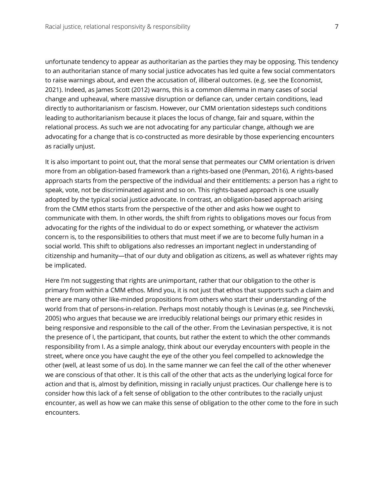unfortunate tendency to appear as authoritarian as the parties they may be opposing. This tendency to an authoritarian stance of many social justice advocates has led quite a few social commentators to raise warnings about, and even the accusation of, illiberal outcomes. (e.g. see the Economist, 2021). Indeed, as James Scott (2012) warns, this is a common dilemma in many cases of social change and upheaval, where massive disruption or defiance can, under certain conditions, lead directly to authoritarianism or fascism. However, our CMM orientation sidesteps such conditions leading to authoritarianism because it places the locus of change, fair and square, within the relational process. As such we are not advocating for any particular change, although we are advocating for a change that is co-constructed as more desirable by those experiencing encounters as racially unjust.

It is also important to point out, that the moral sense that permeates our CMM orientation is driven more from an obligation-based framework than a rights-based one (Penman, 2016). A rights-based approach starts from the perspective of the individual and their entitlements: a person has a right to speak, vote, not be discriminated against and so on. This rights-based approach is one usually adopted by the typical social justice advocate. In contrast, an obligation-based approach arising from the CMM ethos starts from the perspective of the other and asks how we ought to communicate with them. In other words, the shift from rights to obligations moves our focus from advocating for the rights of the individual to do or expect something, or whatever the activism concern is, to the responsibilities to others that must meet if we are to become fully human in a social world. This shift to obligations also redresses an important neglect in understanding of citizenship and humanity—that of our duty and obligation as citizens, as well as whatever rights may be implicated.

Here I'm not suggesting that rights are unimportant, rather that our obligation to the other is primary from within a CMM ethos. Mind you, it is not just that ethos that supports such a claim and there are many other like-minded propositions from others who start their understanding of the world from that of persons-in-relation. Perhaps most notably though is Levinas (e.g. see Pinchevski, 2005) who argues that because we are irreducibly relational beings our primary ethic resides in being responsive and responsible to the call of the other. From the Levinasian perspective, it is not the presence of I, the participant, that counts, but rather the extent to which the other commands responsibility from I. As a simple analogy, think about our everyday encounters with people in the street, where once you have caught the eye of the other you feel compelled to acknowledge the other (well, at least some of us do). In the same manner we can feel the call of the other whenever we are conscious of that other. It is this call of the other that acts as the underlying logical force for action and that is, almost by definition, missing in racially unjust practices. Our challenge here is to consider how this lack of a felt sense of obligation to the other contributes to the racially unjust encounter, as well as how we can make this sense of obligation to the other come to the fore in such encounters.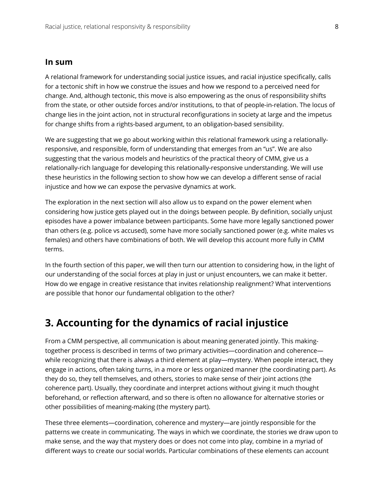#### **In sum**

A relational framework for understanding social justice issues, and racial injustice specifically, calls for a tectonic shift in how we construe the issues and how we respond to a perceived need for change. And, although tectonic, this move is also empowering as the onus of responsibility shifts from the state, or other outside forces and/or institutions, to that of people-in-relation. The locus of change lies in the joint action, not in structural reconfigurations in society at large and the impetus for change shifts from a rights-based argument, to an obligation-based sensibility.

We are suggesting that we go about working within this relational framework using a relationallyresponsive, and responsible, form of understanding that emerges from an "us". We are also suggesting that the various models and heuristics of the practical theory of CMM, give us a relationally-rich language for developing this relationally-responsive understanding. We will use these heuristics in the following section to show how we can develop a different sense of racial injustice and how we can expose the pervasive dynamics at work.

The exploration in the next section will also allow us to expand on the power element when considering how justice gets played out in the doings between people. By definition, socially unjust episodes have a power imbalance between participants. Some have more legally sanctioned power than others (e.g. police vs accused), some have more socially sanctioned power (e.g. white males vs females) and others have combinations of both. We will develop this account more fully in CMM terms.

In the fourth section of this paper, we will then turn our attention to considering how, in the light of our understanding of the social forces at play in just or unjust encounters, we can make it better. How do we engage in creative resistance that invites relationship realignment? What interventions are possible that honor our fundamental obligation to the other?

## **3. Accounting for the dynamics of racial injustice**

From a CMM perspective, all communication is about meaning generated jointly. This makingtogether process is described in terms of two primary activities—coordination and coherence while recognizing that there is always a third element at play—mystery. When people interact, they engage in actions, often taking turns, in a more or less organized manner (the coordinating part). As they do so, they tell themselves, and others, stories to make sense of their joint actions (the coherence part). Usually, they coordinate and interpret actions without giving it much thought beforehand, or reflection afterward, and so there is often no allowance for alternative stories or other possibilities of meaning-making (the mystery part).

These three elements—coordination, coherence and mystery—are jointly responsible for the patterns we create in communicating. The ways in which we coordinate, the stories we draw upon to make sense, and the way that mystery does or does not come into play, combine in a myriad of different ways to create our social worlds. Particular combinations of these elements can account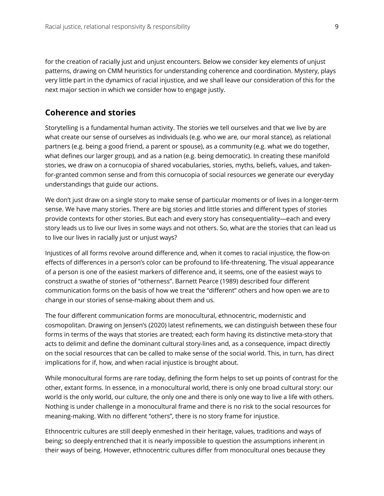for the creation of racially just and unjust encounters. Below we consider key elements of unjust patterns, drawing on CMM heuristics for understanding coherence and coordination. Mystery, plays very little part in the dynamics of racial injustice, and we shall leave our consideration of this for the next major section in which we consider how to engage justly.

#### **Coherence and stories**

Storytelling is a fundamental human activity. The stories we tell ourselves and that we live by are what create our sense of ourselves as individuals (e.g. who we are, our moral stance), as relational partners (e.g. being a good friend, a parent or spouse), as a community (e.g. what we do together, what defines our larger group), and as a nation (e.g. being democratic). In creating these manifold stories, we draw on a cornucopia of shared vocabularies, stories, myths, beliefs, values, and takenfor-granted common sense and from this cornucopia of social resources we generate our everyday understandings that guide our actions.

We don't just draw on a single story to make sense of particular moments or of lives in a longer-term sense. We have many stories. There are big stories and little stories and different types of stories provide contexts for other stories. But each and every story has consequentiality—each and every story leads us to live our lives in some ways and not others. So, what are the stories that can lead us to live our lives in racially just or unjust ways?

Injustices of all forms revolve around difference and, when it comes to racial injustice, the flow-on effects of differences in a person's color can be profound to life-threatening. The visual appearance of a person is one of the easiest markers of difference and, it seems, one of the easiest ways to construct a swathe of stories of "otherness". Barnett Pearce (1989) described four different communication forms on the basis of how we treat the "different" others and how open we are to change in our stories of sense-making about them and us.

The four different communication forms are monocultural, ethnocentric, modernistic and cosmopolitan. Drawing on Jensen's (2020) latest refinements, we can distinguish between these four forms in terms of the ways that stories are treated; each form having its distinctive meta-story that acts to delimit and define the dominant cultural story-lines and, as a consequence, impact directly on the social resources that can be called to make sense of the social world. This, in turn, has direct implications for if, how, and when racial injustice is brought about.

While monocultural forms are rare today, defining the form helps to set up points of contrast for the other, extant forms. In essence, in a monocultural world, there is only one broad cultural story: our world is the only world, our culture, the only one and there is only one way to live a life with others. Nothing is under challenge in a monocultural frame and there is no risk to the social resources for meaning-making. With no different "others", there is no story frame for injustice.

Ethnocentric cultures are still deeply enmeshed in their heritage, values, traditions and ways of being; so deeply entrenched that it is nearly impossible to question the assumptions inherent in their ways of being. However, ethnocentric cultures differ from monocultural ones because they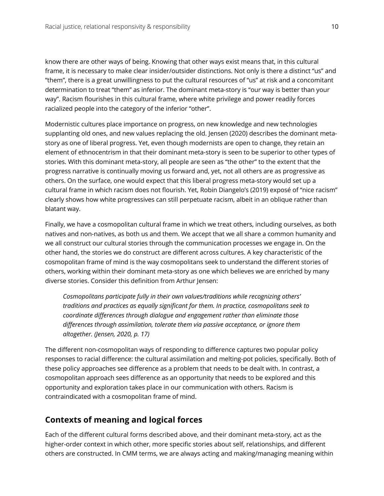know there are other ways of being. Knowing that other ways exist means that, in this cultural frame, it is necessary to make clear insider/outsider distinctions. Not only is there a distinct "us" and "them", there is a great unwillingness to put the cultural resources of "us" at risk and a concomitant determination to treat "them" as inferior. The dominant meta-story is "our way is better than your way". Racism flourishes in this cultural frame, where white privilege and power readily forces racialized people into the category of the inferior "other".

Modernistic cultures place importance on progress, on new knowledge and new technologies supplanting old ones, and new values replacing the old. Jensen (2020) describes the dominant metastory as one of liberal progress. Yet, even though modernists are open to change, they retain an element of ethnocentrism in that their dominant meta-story is seen to be superior to other types of stories. With this dominant meta-story, all people are seen as "the other" to the extent that the progress narrative is continually moving us forward and, yet, not all others are as progressive as others. On the surface, one would expect that this liberal progress meta-story would set up a cultural frame in which racism does not flourish. Yet, Robin Diangelo's (2019) exposé of "nice racism" clearly shows how white progressives can still perpetuate racism, albeit in an oblique rather than blatant way.

Finally, we have a cosmopolitan cultural frame in which we treat others, including ourselves, as both natives and non-natives, as both us and them. We accept that we all share a common humanity and we all construct our cultural stories through the communication processes we engage in. On the other hand, the stories we do construct are different across cultures. A key characteristic of the cosmopolitan frame of mind is the way cosmopolitans seek to understand the different stories of others, working within their dominant meta-story as one which believes we are enriched by many diverse stories. Consider this definition from Arthur Jensen:

*Cosmopolitans participate fully in their own values/traditions while recognizing others' traditions and practices as equally significant for them. In practice, cosmopolitans seek to coordinate differences through dialogue and engagement rather than eliminate those differences through assimilation, tolerate them via passive acceptance, or ignore them altogether. (Jensen, 2020, p. 17)*

The different non-cosmopolitan ways of responding to difference captures two popular policy responses to racial difference: the cultural assimilation and melting-pot policies, specifically. Both of these policy approaches see difference as a problem that needs to be dealt with. In contrast, a cosmopolitan approach sees difference as an opportunity that needs to be explored and this opportunity and exploration takes place in our communication with others. Racism is contraindicated with a cosmopolitan frame of mind.

## **Contexts of meaning and logical forces**

Each of the different cultural forms described above, and their dominant meta-story, act as the higher-order context in which other, more specific stories about self, relationships, and different others are constructed. In CMM terms, we are always acting and making/managing meaning within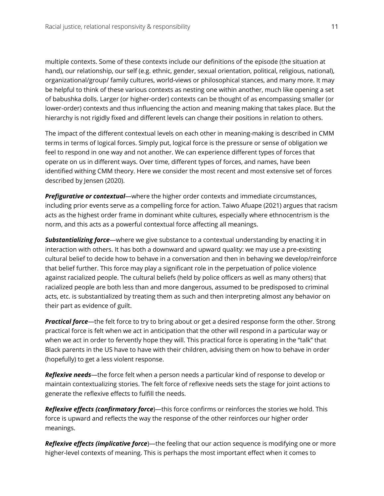multiple contexts. Some of these contexts include our definitions of the episode (the situation at hand), our relationship, our self (e.g. ethnic, gender, sexual orientation, political, religious, national), organizational/group/ family cultures, world-views or philosophical stances, and many more. It may be helpful to think of these various contexts as nesting one within another, much like opening a set of babushka dolls. Larger (or higher-order) contexts can be thought of as encompassing smaller (or lower-order) contexts and thus influencing the action and meaning making that takes place. But the hierarchy is not rigidly fixed and different levels can change their positions in relation to others.

The impact of the different contextual levels on each other in meaning-making is described in CMM terms in terms of logical forces. Simply put, logical force is the pressure or sense of obligation we feel to respond in one way and not another. We can experience different types of forces that operate on us in different ways. Over time, different types of forces, and names, have been identified withing CMM theory. Here we consider the most recent and most extensive set of forces described by Jensen (2020).

*Prefigurative or contextual*—where the higher order contexts and immediate circumstances, including prior events serve as a compelling force for action. Taiwo Afuape (2021) argues that racism acts as the highest order frame in dominant white cultures, especially where ethnocentrism is the norm, and this acts as a powerful contextual force affecting all meanings.

*Substantializing force*—where we give substance to a contextual understanding by enacting it in interaction with others. It has both a downward and upward quality: we may use a pre-existing cultural belief to decide how to behave in a conversation and then in behaving we develop/reinforce that belief further. This force may play a significant role in the perpetuation of police violence against racialized people. The cultural beliefs (held by police officers as well as many others) that racialized people are both less than and more dangerous, assumed to be predisposed to criminal acts, etc. is substantialized by treating them as such and then interpreting almost any behavior on their part as evidence of guilt.

*Practical force*—the felt force to try to bring about or get a desired response form the other. Strong practical force is felt when we act in anticipation that the other will respond in a particular way or when we act in order to fervently hope they will. This practical force is operating in the "talk" that Black parents in the US have to have with their children, advising them on how to behave in order (hopefully) to get a less violent response.

*Reflexive needs*—the force felt when a person needs a particular kind of response to develop or maintain contextualizing stories. The felt force of reflexive needs sets the stage for joint actions to generate the reflexive effects to fulfill the needs.

*Reflexive effects (confirmatory force*)—this force confirms or reinforces the stories we hold. This force is upward and reflects the way the response of the other reinforces our higher order meanings.

*Reflexive effects (implicative force*)—the feeling that our action sequence is modifying one or more higher-level contexts of meaning. This is perhaps the most important effect when it comes to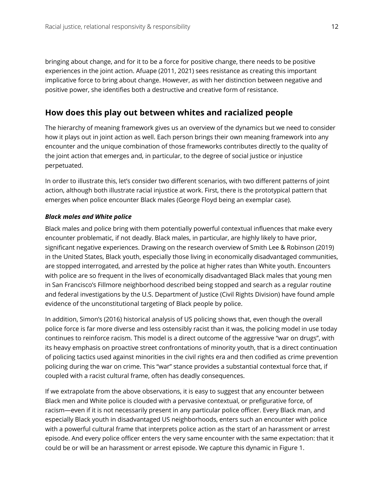bringing about change, and for it to be a force for positive change, there needs to be positive experiences in the joint action. Afuape (2011, 2021) sees resistance as creating this important implicative force to bring about change. However, as with her distinction between negative and positive power, she identifies both a destructive and creative form of resistance.

## **How does this play out between whites and racialized people**

The hierarchy of meaning framework gives us an overview of the dynamics but we need to consider how it plays out in joint action as well. Each person brings their own meaning framework into any encounter and the unique combination of those frameworks contributes directly to the quality of the joint action that emerges and, in particular, to the degree of social justice or injustice perpetuated.

In order to illustrate this, let's consider two different scenarios, with two different patterns of joint action, although both illustrate racial injustice at work. First, there is the prototypical pattern that emerges when police encounter Black males (George Floyd being an exemplar case).

#### *Black males and White police*

Black males and police bring with them potentially powerful contextual influences that make every encounter problematic, if not deadly. Black males, in particular, are highly likely to have prior, significant negative experiences. Drawing on the research overview of Smith Lee & Robinson (2019) in the United States, Black youth, especially those living in economically disadvantaged communities, are stopped interrogated, and arrested by the police at higher rates than White youth. Encounters with police are so frequent in the lives of economically disadvantaged Black males that young men in San Francisco's Fillmore neighborhood described being stopped and search as a regular routine and federal investigations by the U.S. Department of Justice (Civil Rights Division) have found ample evidence of the unconstitutional targeting of Black people by police.

In addition, Simon's (2016) historical analysis of US policing shows that, even though the overall police force is far more diverse and less ostensibly racist than it was, the policing model in use today continues to reinforce racism. This model is a direct outcome of the aggressive "war on drugs", with its heavy emphasis on proactive street confrontations of minority youth, that is a direct continuation of policing tactics used against minorities in the civil rights era and then codified as crime prevention policing during the war on crime. This "war" stance provides a substantial contextual force that, if coupled with a racist cultural frame, often has deadly consequences.

If we extrapolate from the above observations, it is easy to suggest that any encounter between Black men and White police is clouded with a pervasive contextual, or prefigurative force, of racism—even if it is not necessarily present in any particular police officer. Every Black man, and especially Black youth in disadvantaged US neighborhoods, enters such an encounter with police with a powerful cultural frame that interprets police action as the start of an harassment or arrest episode. And every police officer enters the very same encounter with the same expectation: that it could be or will be an harassment or arrest episode. We capture this dynamic in Figure 1.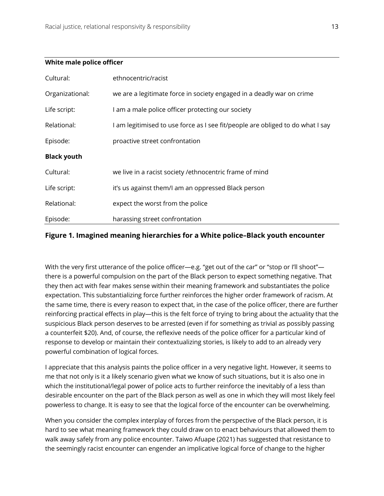#### **White male police officer**

| Cultural:          | ethnocentric/racist                                                            |
|--------------------|--------------------------------------------------------------------------------|
| Organizational:    | we are a legitimate force in society engaged in a deadly war on crime          |
| Life script:       | I am a male police officer protecting our society                              |
| Relational:        | I am legitimised to use force as I see fit/people are obliged to do what I say |
| Episode:           | proactive street confrontation                                                 |
| <b>Black youth</b> |                                                                                |
| Cultural:          | we live in a racist society /ethnocentric frame of mind                        |
| Life script:       | it's us against them/I am an oppressed Black person                            |
| Relational:        | expect the worst from the police                                               |
| Episode:           | harassing street confrontation                                                 |

#### **Figure 1. Imagined meaning hierarchies for a White police–Black youth encounter**

With the very first utterance of the police officer—e.g. "get out of the car" or "stop or I'll shoot" there is a powerful compulsion on the part of the Black person to expect something negative. That they then act with fear makes sense within their meaning framework and substantiates the police expectation. This substantializing force further reinforces the higher order framework of racism. At the same time, there is every reason to expect that, in the case of the police officer, there are further reinforcing practical effects in play—this is the felt force of trying to bring about the actuality that the suspicious Black person deserves to be arrested (even if for something as trivial as possibly passing a counterfeit \$20). And, of course, the reflexive needs of the police officer for a particular kind of response to develop or maintain their contextualizing stories, is likely to add to an already very powerful combination of logical forces.

I appreciate that this analysis paints the police officer in a very negative light. However, it seems to me that not only is it a likely scenario given what we know of such situations, but it is also one in which the institutional/legal power of police acts to further reinforce the inevitably of a less than desirable encounter on the part of the Black person as well as one in which they will most likely feel powerless to change. It is easy to see that the logical force of the encounter can be overwhelming.

When you consider the complex interplay of forces from the perspective of the Black person, it is hard to see what meaning framework they could draw on to enact behaviours that allowed them to walk away safely from any police encounter. Taiwo Afuape (2021) has suggested that resistance to the seemingly racist encounter can engender an implicative logical force of change to the higher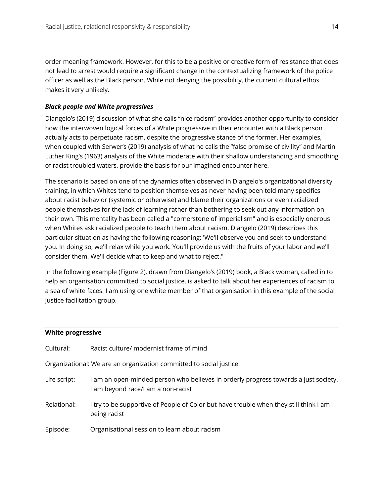order meaning framework. However, for this to be a positive or creative form of resistance that does not lead to arrest would require a significant change in the contextualizing framework of the police officer as well as the Black person. While not denying the possibility, the current cultural ethos makes it very unlikely.

#### *Black people and White progressives*

Diangelo's (2019) discussion of what she calls "nice racism" provides another opportunity to consider how the interwoven logical forces of a White progressive in their encounter with a Black person actually acts to perpetuate racism, despite the progressive stance of the former. Her examples, when coupled with Serwer's (2019) analysis of what he calls the "false promise of civility" and Martin Luther King's (1963) analysis of the White moderate with their shallow understanding and smoothing of racist troubled waters, provide the basis for our imagined encounter here.

The scenario is based on one of the dynamics often observed in Diangelo's organizational diversity training, in which Whites tend to position themselves as never having been told many specifics about racist behavior (systemic or otherwise) and blame their organizations or even racialized people themselves for the lack of learning rather than bothering to seek out any information on their own. This mentality has been called a "cornerstone of imperialism" and is especially onerous when Whites ask racialized people to teach them about racism. Diangelo (2019) describes this particular situation as having the following reasoning: 'We'll observe you and seek to understand you. In doing so, we'll relax while you work. You'll provide us with the fruits of your labor and we'll consider them. We'll decide what to keep and what to reject."

In the following example (Figure 2), drawn from Diangelo's (2019) book, a Black woman, called in to help an organisation committed to social justice, is asked to talk about her experiences of racism to a sea of white faces. I am using one white member of that organisation in this example of the social justice facilitation group.

#### **White progressive**

| Cultural:                                                          | Racist culture/ modernist frame of mind                                                                                   |  |
|--------------------------------------------------------------------|---------------------------------------------------------------------------------------------------------------------------|--|
| Organizational: We are an organization committed to social justice |                                                                                                                           |  |
| Life script:                                                       | I am an open-minded person who believes in orderly progress towards a just society.<br>I am beyond race/I am a non-racist |  |
| Relational:                                                        | I try to be supportive of People of Color but have trouble when they still think I am<br>being racist                     |  |
| Episode:                                                           | Organisational session to learn about racism                                                                              |  |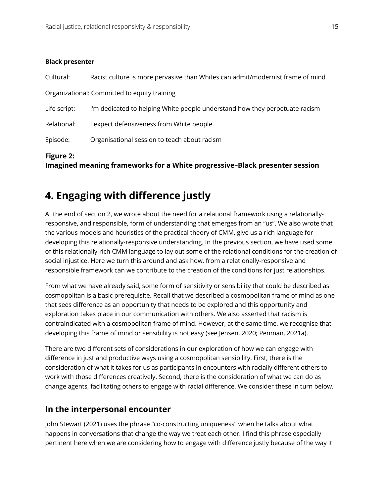#### **Black presenter**

| Episode:                                     | Organisational session to teach about racism                                   |  |
|----------------------------------------------|--------------------------------------------------------------------------------|--|
| Relational:                                  | I expect defensiveness from White people                                       |  |
| Life script:                                 | I'm dedicated to helping White people understand how they perpetuate racism    |  |
| Organizational: Committed to equity training |                                                                                |  |
| Cultural:                                    | Racist culture is more pervasive than Whites can admit/modernist frame of mind |  |

#### **Figure 2:**

**Imagined meaning frameworks for a White progressive–Black presenter session**

# **4. Engaging with difference justly**

At the end of section 2, we wrote about the need for a relational framework using a relationallyresponsive, and responsible, form of understanding that emerges from an "us". We also wrote that the various models and heuristics of the practical theory of CMM, give us a rich language for developing this relationally-responsive understanding. In the previous section, we have used some of this relationally-rich CMM language to lay out some of the relational conditions for the creation of social injustice. Here we turn this around and ask how, from a relationally-responsive and responsible framework can we contribute to the creation of the conditions for just relationships.

From what we have already said, some form of sensitivity or sensibility that could be described as cosmopolitan is a basic prerequisite. Recall that we described a cosmopolitan frame of mind as one that sees difference as an opportunity that needs to be explored and this opportunity and exploration takes place in our communication with others. We also asserted that racism is contraindicated with a cosmopolitan frame of mind. However, at the same time, we recognise that developing this frame of mind or sensibility is not easy (see Jensen, 2020; Penman, 2021a).

There are two different sets of considerations in our exploration of how we can engage with difference in just and productive ways using a cosmopolitan sensibility. First, there is the consideration of what it takes for us as participants in encounters with racially different others to work with those differences creatively. Second, there is the consideration of what we can do as change agents, facilitating others to engage with racial difference. We consider these in turn below.

### **In the interpersonal encounter**

John Stewart (2021) uses the phrase "co-constructing uniqueness" when he talks about what happens in conversations that change the way we treat each other. I find this phrase especially pertinent here when we are considering how to engage with difference justly because of the way it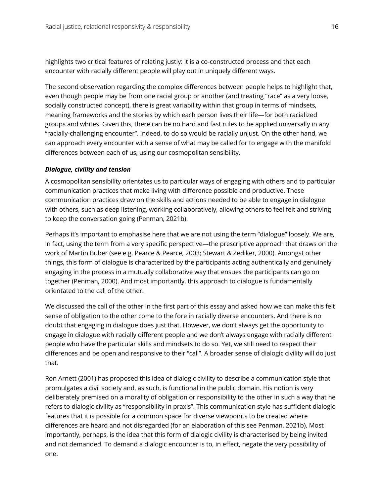highlights two critical features of relating justly: it is a co-constructed process and that each encounter with racially different people will play out in uniquely different ways.

The second observation regarding the complex differences between people helps to highlight that, even though people may be from one racial group or another (and treating "race" as a very loose, socially constructed concept), there is great variability within that group in terms of mindsets, meaning frameworks and the stories by which each person lives their life—for both racialized groups and whites. Given this, there can be no hard and fast rules to be applied universally in any "racially-challenging encounter". Indeed, to do so would be racially unjust. On the other hand, we can approach every encounter with a sense of what may be called for to engage with the manifold differences between each of us, using our cosmopolitan sensibility.

#### *Dialogue, civility and tension*

A cosmopolitan sensibility orientates us to particular ways of engaging with others and to particular communication practices that make living with difference possible and productive. These communication practices draw on the skills and actions needed to be able to engage in dialogue with others, such as deep listening, working collaboratively, allowing others to feel felt and striving to keep the conversation going (Penman, 2021b).

Perhaps it's important to emphasise here that we are not using the term "dialogue" loosely. We are, in fact, using the term from a very specific perspective—the prescriptive approach that draws on the work of Martin Buber (see e.g. Pearce & Pearce, 2003; Stewart & Zediker, 2000). Amongst other things, this form of dialogue is characterized by the participants acting authentically and genuinely engaging in the process in a mutually collaborative way that ensues the participants can go on together (Penman, 2000). And most importantly, this approach to dialogue is fundamentally orientated to the call of the other.

We discussed the call of the other in the first part of this essay and asked how we can make this felt sense of obligation to the other come to the fore in racially diverse encounters. And there is no doubt that engaging in dialogue does just that. However, we don't always get the opportunity to engage in dialogue with racially different people and we don't always engage with racially different people who have the particular skills and mindsets to do so. Yet, we still need to respect their differences and be open and responsive to their "call". A broader sense of dialogic civility will do just that.

Ron Arnett (2001) has proposed this idea of dialogic civility to describe a communication style that promulgates a civil society and, as such, is functional in the public domain. His notion is very deliberately premised on a morality of obligation or responsibility to the other in such a way that he refers to dialogic civility as "responsibility in praxis". This communication style has sufficient dialogic features that it is possible for a common space for diverse viewpoints to be created where differences are heard and not disregarded (for an elaboration of this see Penman, 2021b). Most importantly, perhaps, is the idea that this form of dialogic civility is characterised by being invited and not demanded. To demand a dialogic encounter is to, in effect, negate the very possibility of one.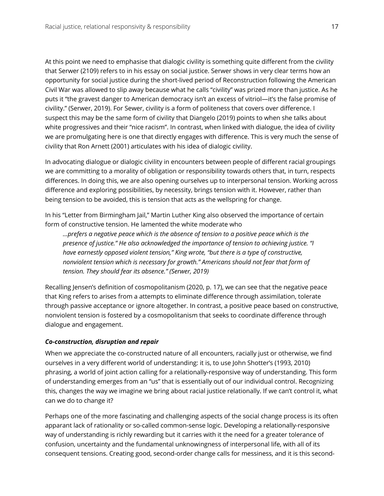At this point we need to emphasise that dialogic civility is something quite different from the civility that Serwer (2109) refers to in his essay on social justice. Serwer shows in very clear terms how an opportunity for social justice during the short-lived period of Reconstruction following the American Civil War was allowed to slip away because what he calls "civility" was prized more than justice. As he puts it "the gravest danger to American democracy isn't an excess of vitriol—it's the false promise of civility." (Serwer, 2019). For Sewer, civility is a form of politeness that covers over difference. I suspect this may be the same form of civility that Diangelo (2019) points to when she talks about white progressives and their "nice racism". In contrast, when linked with dialogue, the idea of civility we are promulgating here is one that directly engages with difference. This is very much the sense of civility that Ron Arnett (2001) articulates with his idea of dialogic civility.

In advocating dialogue or dialogic civility in encounters between people of different racial groupings we are committing to a morality of obligation or responsibility towards others that, in turn, respects differences. In doing this, we are also opening ourselves up to interpersonal tension. Working across difference and exploring possibilities, by necessity, brings tension with it. However, rather than being tension to be avoided, this is tension that acts as the wellspring for change.

In his "Letter from Birmingham Jail," Martin Luther King also observed the importance of certain form of constructive tension. He lamented the white moderate who

*…prefers a negative peace which is the absence of tension to a positive peace which is the presence of justice." He also acknowledged the importance of tension to achieving justice. "I have earnestly opposed violent tension," King wrote, "but there is a type of constructive, nonviolent tension which is necessary for growth." Americans should not fear that form of tension. They should fear its absence." (Serwer, 2019)*

Recalling Jensen's definition of cosmopolitanism (2020, p. 17), we can see that the negative peace that King refers to arises from a attempts to eliminate difference through assimilation, tolerate through passive acceptance or ignore altogether. In contrast, a positive peace based on constructive, nonviolent tension is fostered by a cosmopolitanism that seeks to coordinate difference through dialogue and engagement.

#### *Co-construction, disruption and repair*

When we appreciate the co-constructed nature of all encounters, racially just or otherwise, we find ourselves in a very different world of understanding: it is, to use John Shotter's (1993, 2010) phrasing, a world of joint action calling for a relationally-responsive way of understanding. This form of understanding emerges from an "us" that is essentially out of our individual control. Recognizing this, changes the way we imagine we bring about racial justice relationally. If we can't control it, what can we do to change it?

Perhaps one of the more fascinating and challenging aspects of the social change process is its often apparant lack of rationality or so-called common-sense logic. Developing a relationally-responsive way of understanding is richly rewarding but it carries with it the need for a greater tolerance of confusion, uncertainty and the fundamental unknowingness of interpersonal life, with all of its consequent tensions. Creating good, second-order change calls for messiness, and it is this second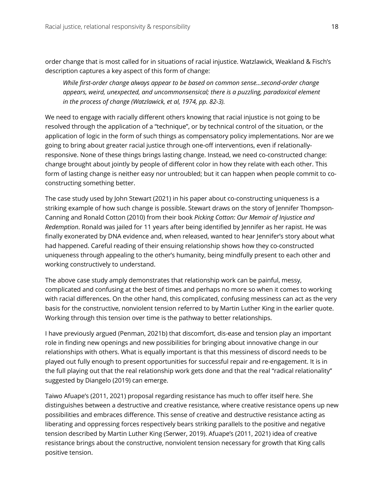order change that is most called for in situations of racial injustice. Watzlawick, Weakland & Fisch's description captures a key aspect of this form of change:

*While first-order change always appear to be based on common sense…second-order change appears, weird, unexpected, and uncommonsensical; there is a puzzling, paradoxical element in the process of change (Watzlawick, et al, 1974, pp. 82-3).*

We need to engage with racially different others knowing that racial injustice is not going to be resolved through the application of a "technique", or by technical control of the situation, or the application of logic in the form of such things as compensatory policy implementations. Nor are we going to bring about greater racial justice through one-off interventions, even if relationallyresponsive. None of these things brings lasting change. Instead, we need co-constructed change: change brought about jointly by people of different color in how they relate with each other. This form of lasting change is neither easy nor untroubled; but it can happen when people commit to coconstructing something better.

The case study used by John Stewart (2021) in his paper about co-constructing uniqueness is a striking example of how such change is possible. Stewart draws on the story of Jennifer Thompson-Canning and Ronald Cotton (2010) from their book *Picking Cotton: Our Memoir of Injustice and Redemption*. Ronald was jailed for 11 years after being identified by Jennifer as her rapist. He was finally exonerated by DNA evidence and, when released, wanted to hear Jennifer's story about what had happened. Careful reading of their ensuing relationship shows how they co-constructed uniqueness through appealing to the other's humanity, being mindfully present to each other and working constructively to understand.

The above case study amply demonstrates that relationship work can be painful, messy, complicated and confusing at the best of times and perhaps no more so when it comes to working with racial differences. On the other hand, this complicated, confusing messiness can act as the very basis for the constructive, nonviolent tension referred to by Martin Luther King in the earlier quote. Working through this tension over time is the pathway to better relationships.

I have previously argued (Penman, 2021b) that discomfort, dis-ease and tension play an important role in finding new openings and new possibilities for bringing about innovative change in our relationships with others. What is equally important is that this messiness of discord needs to be played out fully enough to present opportunities for successful repair and re-engagement. It is in the full playing out that the real relationship work gets done and that the real "radical relationality" suggested by Diangelo (2019) can emerge.

Taiwo Afuape's (2011, 2021) proposal regarding resistance has much to offer itself here. She distinguishes between a destructive and creative resistance, where creative resistance opens up new possibilities and embraces difference. This sense of creative and destructive resistance acting as liberating and oppressing forces respectively bears striking parallels to the positive and negative tension described by Martin Luther King (Serwer, 2019). Afuape's (2011, 2021) idea of creative resistance brings about the constructive, nonviolent tension necessary for growth that King calls positive tension.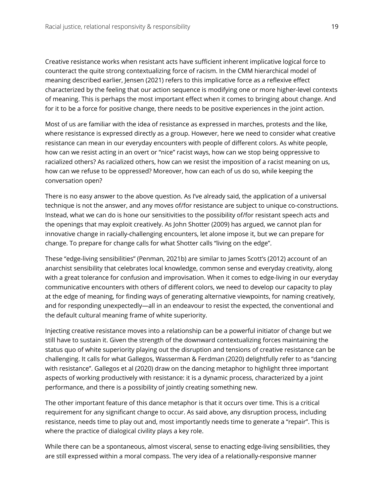Creative resistance works when resistant acts have sufficient inherent implicative logical force to counteract the quite strong contextualizing force of racism. In the CMM hierarchical model of meaning described earlier, Jensen (2021) refers to this implicative force as a reflexive effect characterized by the feeling that our action sequence is modifying one or more higher-level contexts of meaning. This is perhaps the most important effect when it comes to bringing about change. And for it to be a force for positive change, there needs to be positive experiences in the joint action.

Most of us are familiar with the idea of resistance as expressed in marches, protests and the like, where resistance is expressed directly as a group. However, here we need to consider what creative resistance can mean in our everyday encounters with people of different colors. As white people, how can we resist acting in an overt or "nice" racist ways, how can we stop being oppressive to racialized others? As racialized others, how can we resist the imposition of a racist meaning on us, how can we refuse to be oppressed? Moreover, how can each of us do so, while keeping the conversation open?

There is no easy answer to the above question. As I've already said, the application of a universal technique is not the answer, and any moves of/for resistance are subject to unique co-constructions. Instead, what we can do is hone our sensitivities to the possibility of/for resistant speech acts and the openings that may exploit creatively. As John Shotter (2009) has argued, we cannot plan for innovative change in racially-challenging encounters, let alone impose it, but we can prepare for change. To prepare for change calls for what Shotter calls "living on the edge".

These "edge-living sensibilities" (Penman, 2021b) are similar to James Scott's (2012) account of an anarchist sensibility that celebrates local knowledge, common sense and everyday creativity, along with a great tolerance for confusion and improvisation. When it comes to edge-living in our everyday communicative encounters with others of different colors, we need to develop our capacity to play at the edge of meaning, for finding ways of generating alternative viewpoints, for naming creatively, and for responding unexpectedly—all in an endeavour to resist the expected, the conventional and the default cultural meaning frame of white superiority.

Injecting creative resistance moves into a relationship can be a powerful initiator of change but we still have to sustain it. Given the strength of the downward contextualizing forces maintaining the status quo of white superiority playing out the disruption and tensions of creative resistance can be challenging. It calls for what Gallegos, Wasserman & Ferdman (2020) delightfully refer to as "dancing with resistance". Gallegos et al (2020) draw on the dancing metaphor to highlight three important aspects of working productively with resistance: it is a dynamic process, characterized by a joint performance, and there is a possibility of jointly creating something new.

The other important feature of this dance metaphor is that it occurs over time. This is a critical requirement for any significant change to occur. As said above, any disruption process, including resistance, needs time to play out and, most importantly needs time to generate a "repair". This is where the practice of dialogical civility plays a key role.

While there can be a spontaneous, almost visceral, sense to enacting edge-living sensibilities, they are still expressed within a moral compass. The very idea of a relationally-responsive manner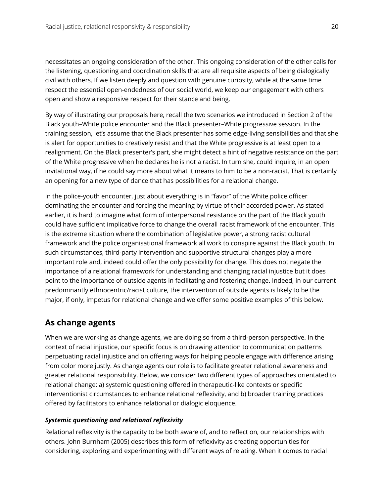necessitates an ongoing consideration of the other. This ongoing consideration of the other calls for the listening, questioning and coordination skills that are all requisite aspects of being dialogically civil with others. If we listen deeply and question with genuine curiosity, while at the same time respect the essential open-endedness of our social world, we keep our engagement with others open and show a responsive respect for their stance and being.

By way of illustrating our proposals here, recall the two scenarios we introduced in Section 2 of the Black youth–White police encounter and the Black presenter–White progressive session. In the training session, let's assume that the Black presenter has some edge-living sensibilities and that she is alert for opportunities to creatively resist and that the White progressive is at least open to a realignment. On the Black presenter's part, she might detect a hint of negative resistance on the part of the White progressive when he declares he is not a racist. In turn she, could inquire, in an open invitational way, if he could say more about what it means to him to be a non-racist. That is certainly an opening for a new type of dance that has possibilities for a relational change.

In the police-youth encounter, just about everything is in "favor" of the White police officer dominating the encounter and forcing the meaning by virtue of their accorded power. As stated earlier, it is hard to imagine what form of interpersonal resistance on the part of the Black youth could have sufficient implicative force to change the overall racist framework of the encounter. This is the extreme situation where the combination of legislative power, a strong racist cultural framework and the police organisational framework all work to conspire against the Black youth. In such circumstances, third-party intervention and supportive structural changes play a more important role and, indeed could offer the only possibility for change. This does not negate the importance of a relational framework for understanding and changing racial injustice but it does point to the importance of outside agents in facilitating and fostering change. Indeed, in our current predominantly ethnocentric/racist culture, the intervention of outside agents is likely to be the major, if only, impetus for relational change and we offer some positive examples of this below.

## **As change agents**

When we are working as change agents, we are doing so from a third-person perspective. In the context of racial injustice, our specific focus is on drawing attention to communication patterns perpetuating racial injustice and on offering ways for helping people engage with difference arising from color more justly. As change agents our role is to facilitate greater relational awareness and greater relational responsibility. Below, we consider two different types of approaches orientated to relational change: a) systemic questioning offered in therapeutic-like contexts or specific interventionist circumstances to enhance relational reflexivity, and b) broader training practices offered by facilitators to enhance relational or dialogic eloquence.

#### *Systemic questioning and relational reflexivity*

Relational reflexivity is the capacity to be both aware of, and to reflect on, our relationships with others. John Burnham (2005) describes this form of reflexivity as creating opportunities for considering, exploring and experimenting with different ways of relating. When it comes to racial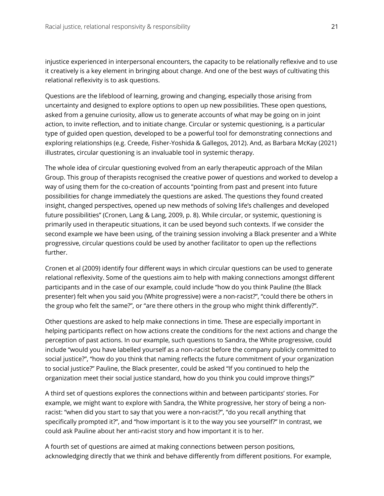injustice experienced in interpersonal encounters, the capacity to be relationally reflexive and to use it creatively is a key element in bringing about change. And one of the best ways of cultivating this relational reflexivity is to ask questions.

Questions are the lifeblood of learning, growing and changing, especially those arising from uncertainty and designed to explore options to open up new possibilities. These open questions, asked from a genuine curiosity, allow us to generate accounts of what may be going on in joint action, to invite reflection, and to initiate change. Circular or systemic questioning, is a particular type of guided open question, developed to be a powerful tool for demonstrating connections and exploring relationships (e.g. Creede, Fisher-Yoshida & Gallegos, 2012). And, as Barbara McKay (2021) illustrates, circular questioning is an invaluable tool in systemic therapy.

The whole idea of circular questioning evolved from an early therapeutic approach of the Milan Group. This group of therapists recognised the creative power of questions and worked to develop a way of using them for the co-creation of accounts "pointing from past and present into future possibilities for change immediately the questions are asked. The questions they found created insight, changed perspectives, opened up new methods of solving life's challenges and developed future possibilities" (Cronen, Lang & Lang, 2009, p. 8). While circular, or systemic, questioning is primarily used in therapeutic situations, it can be used beyond such contexts. If we consider the second example we have been using, of the training session involving a Black presenter and a White progressive, circular questions could be used by another facilitator to open up the reflections further.

Cronen et al (2009) identify four different ways in which circular questions can be used to generate relational reflexivity. Some of the questions aim to help with making connections amongst different participants and in the case of our example, could include "how do you think Pauline (the Black presenter) felt when you said you (White progressive) were a non-racist?", "could there be others in the group who felt the same?", or "are there others in the group who might think differently?".

Other questions are asked to help make connections in time. These are especially important in helping participants reflect on how actions create the conditions for the next actions and change the perception of past actions. In our example, such questions to Sandra, the White progressive, could include "would you have labelled yourself as a non-racist before the company publicly committed to social justice?", "how do you think that naming reflects the future commitment of your organization to social justice?" Pauline, the Black presenter, could be asked "If you continued to help the organization meet their social justice standard, how do you think you could improve things?"

A third set of questions explores the connections within and between participants' stories. For example, we might want to explore with Sandra, the White progressive, her story of being a nonracist: "when did you start to say that you were a non-racist?", "do you recall anything that specifically prompted it?", and "how important is it to the way you see yourself?" In contrast, we could ask Pauline about her anti-racist story and how important it is to her.

A fourth set of questions are aimed at making connections between person positions, acknowledging directly that we think and behave differently from different positions. For example,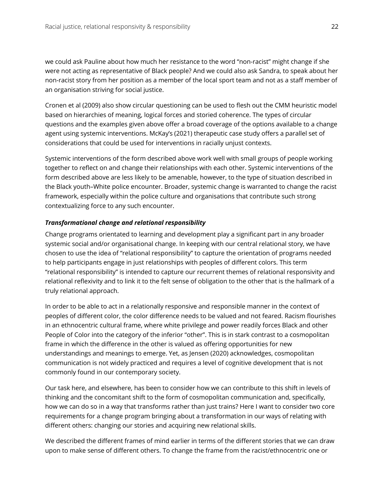we could ask Pauline about how much her resistance to the word "non-racist" might change if she were not acting as representative of Black people? And we could also ask Sandra, to speak about her non-racist story from her position as a member of the local sport team and not as a staff member of an organisation striving for social justice.

Cronen et al (2009) also show circular questioning can be used to flesh out the CMM heuristic model based on hierarchies of meaning, logical forces and storied coherence. The types of circular questions and the examples given above offer a broad coverage of the options available to a change agent using systemic interventions. McKay's (2021) therapeutic case study offers a parallel set of considerations that could be used for interventions in racially unjust contexts.

Systemic interventions of the form described above work well with small groups of people working together to reflect on and change their relationships with each other. Systemic interventions of the form described above are less likely to be amenable, however, to the type of situation described in the Black youth–White police encounter. Broader, systemic change is warranted to change the racist framework, especially within the police culture and organisations that contribute such strong contextualizing force to any such encounter.

#### *Transformational change and relational responsibility*

Change programs orientated to learning and development play a significant part in any broader systemic social and/or organisational change. In keeping with our central relational story, we have chosen to use the idea of "relational responsibility" to capture the orientation of programs needed to help participants engage in just relationships with peoples of different colors. This term "relational responsibility" is intended to capture our recurrent themes of relational responsivity and relational reflexivity and to link it to the felt sense of obligation to the other that is the hallmark of a truly relational approach.

In order to be able to act in a relationally responsive and responsible manner in the context of peoples of different color, the color difference needs to be valued and not feared. Racism flourishes in an ethnocentric cultural frame, where white privilege and power readily forces Black and other People of Color into the category of the inferior "other". This is in stark contrast to a cosmopolitan frame in which the difference in the other is valued as offering opportunities for new understandings and meanings to emerge. Yet, as Jensen (2020) acknowledges, cosmopolitan communication is not widely practiced and requires a level of cognitive development that is not commonly found in our contemporary society.

Our task here, and elsewhere, has been to consider how we can contribute to this shift in levels of thinking and the concomitant shift to the form of cosmopolitan communication and, specifically, how we can do so in a way that transforms rather than just trains? Here I want to consider two core requirements for a change program bringing about a transformation in our ways of relating with different others: changing our stories and acquiring new relational skills.

We described the different frames of mind earlier in terms of the different stories that we can draw upon to make sense of different others. To change the frame from the racist/ethnocentric one or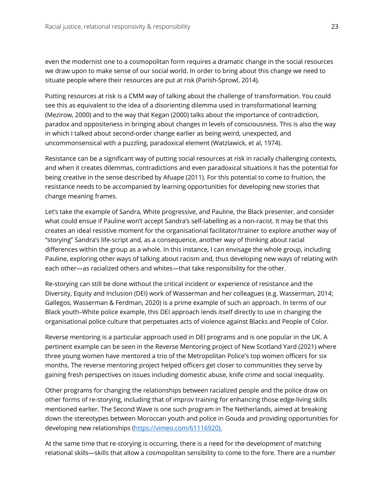even the modernist one to a cosmopolitan form requires a dramatic change in the social resources we draw upon to make sense of our social world. In order to bring about this change we need to situate people where their resources are put at risk (Parish-Sprowl, 2014).

Putting resources at risk is a CMM way of talking about the challenge of transformation. You could see this as equivalent to the idea of a disorienting dilemma used in transformational learning (Mezirow, 2000) and to the way that Kegan (2000) talks about the importance of contradiction, paradox and oppositeness in bringing about changes in levels of consciousness. This is also the way in which I talked about second-order change earlier as being weird, unexpected, and uncommonsensical with a puzzling, paradoxical element (Watzlawick, et al, 1974).

Resistance can be a significant way of putting social resources at risk in racially challenging contexts, and when it creates dilemmas, contradictions and even paradoxical situations it has the potential for being creative in the sense described by Afuape (2011). For this potential to come to fruition, the resistance needs to be accompanied by learning opportunities for developing new stories that change meaning frames.

Let's take the example of Sandra, White progressive, and Pauline, the Black presenter, and consider what could ensue if Pauline won't accept Sandra's self-labelling as a non-racist. It may be that this creates an ideal resistive moment for the organisational facilitator/trainer to explore another way of "storying" Sandra's life-script and, as a consequence, another way of thinking about racial differences within the group as a whole. In this instance, I can envisage the whole group, including Pauline, exploring other ways of talking about racism and, thus developing new ways of relating with each other—as racialized others and whites—that take responsibility for the other.

Re-storying can still be done without the critical incident or experience of resistance and the Diversity, Equity and Inclusion (DEI) work of Wasserman and her colleagues (e.g. Wasserman, 2014; Gallegos, Wasserman & Ferdman, 2020) is a prime example of such an approach. In terms of our Black youth–White police example, this DEI approach lends itself directly to use in changing the organisational police culture that perpetuates acts of violence against Blacks and People of Color.

Reverse mentoring is a particular approach used in DEI programs and is one popular in the UK. A pertinent example can be seen in the Reverse Mentoring project of New Scotland Yard (2021) where three young women have mentored a trio of the Metropolitan Police's top women officers for six months. The reverse mentoring project helped officers get closer to communities they serve by gaining fresh perspectives on issues including domestic abuse, knife crime and social inequality.

Other programs for changing the relationships between racialized people and the police draw on other forms of re-storying, including that of improv training for enhancing those edge-living skills mentioned earlier. The Second Wave is one such program in The Netherlands, aimed at breaking down the stereotypes between Moroccan youth and police in Gouda and providing opportunities for developing new relationships (https://vimeo.com/61116920).

At the same time that re-storying is occurring, there is a need for the development of matching relational skills—skills that allow a cosmopolitan sensibility to come to the fore. There are a number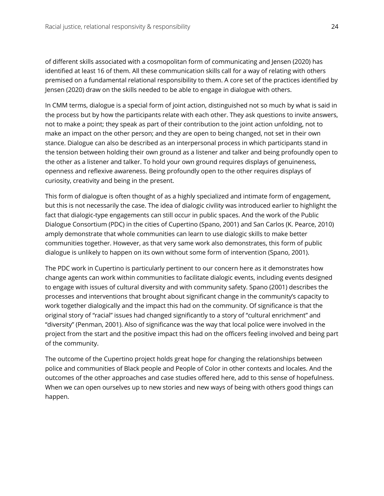of different skills associated with a cosmopolitan form of communicating and Jensen (2020) has identified at least 16 of them. All these communication skills call for a way of relating with others premised on a fundamental relational responsibility to them. A core set of the practices identified by Jensen (2020) draw on the skills needed to be able to engage in dialogue with others.

In CMM terms, dialogue is a special form of joint action, distinguished not so much by what is said in the process but by how the participants relate with each other. They ask questions to invite answers, not to make a point; they speak as part of their contribution to the joint action unfolding, not to make an impact on the other person; and they are open to being changed, not set in their own stance. Dialogue can also be described as an interpersonal process in which participants stand in the tension between holding their own ground as a listener and talker and being profoundly open to the other as a listener and talker. To hold your own ground requires displays of genuineness, openness and reflexive awareness. Being profoundly open to the other requires displays of curiosity, creativity and being in the present.

This form of dialogue is often thought of as a highly specialized and intimate form of engagement, but this is not necessarily the case. The idea of dialogic civility was introduced earlier to highlight the fact that dialogic-type engagements can still occur in public spaces. And the work of the Public Dialogue Consortium (PDC) in the cities of Cupertino (Spano, 2001) and San Carlos (K. Pearce, 2010) amply demonstrate that whole communities can learn to use dialogic skills to make better communities together. However, as that very same work also demonstrates, this form of public dialogue is unlikely to happen on its own without some form of intervention (Spano, 2001).

The PDC work in Cupertino is particularly pertinent to our concern here as it demonstrates how change agents can work within communities to facilitate dialogic events, including events designed to engage with issues of cultural diversity and with community safety. Spano (2001) describes the processes and interventions that brought about significant change in the community's capacity to work together dialogically and the impact this had on the community. Of significance is that the original story of "racial" issues had changed significantly to a story of "cultural enrichment" and "diversity" (Penman, 2001). Also of significance was the way that local police were involved in the project from the start and the positive impact this had on the officers feeling involved and being part of the community.

The outcome of the Cupertino project holds great hope for changing the relationships between police and communities of Black people and People of Color in other contexts and locales. And the outcomes of the other approaches and case studies offered here, add to this sense of hopefulness. When we can open ourselves up to new stories and new ways of being with others good things can happen.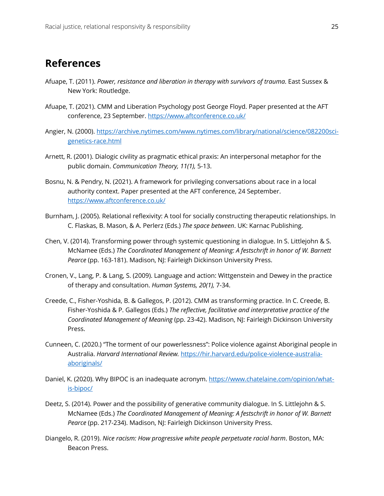## **References**

- Afuape, T. (2011). *Power, resistance and liberation in therapy with survivors of trauma*. East Sussex & New York: Routledge.
- Afuape, T. (2021). CMM and Liberation Psychology post George Floyd. Paper presented at the AFT conference, 23 September. https://www.aftconference.co.uk/
- Angier, N. (2000). https://archive.nytimes.com/www.nytimes.com/library/national/science/082200scigenetics-race.html
- Arnett, R. (2001). Dialogic civility as pragmatic ethical praxis: An interpersonal metaphor for the public domain. *Communication Theory, 11(1),* 5-13.
- Bosnu, N. & Pendry, N. (2021). A framework for privileging conversations about race in a local authority context. Paper presented at the AFT conference, 24 September. https://www.aftconference.co.uk/
- Burnham, J. (2005). Relational reflexivity: A tool for socially constructing therapeutic relationships. In C. Flaskas, B. Mason, & A. Perlerz (Eds.) *The space between*. UK: Karnac Publishing.
- Chen, V. (2014). Transforming power through systemic questioning in dialogue. In S. Littlejohn & S. McNamee (Eds.) *The Coordinated Management of Meaning: A festschrift in honor of W. Barnett Pearce* (pp. 163-181). Madison, NJ: Fairleigh Dickinson University Press.
- Cronen, V., Lang, P. & Lang, S. (2009). Language and action: Wittgenstein and Dewey in the practice of therapy and consultation. *Human Systems, 20(1),* 7-34.
- Creede, C., Fisher-Yoshida, B. & Gallegos, P. (2012). CMM as transforming practice. In C. Creede, B. Fisher-Yoshida & P. Gallegos (Eds.) *The reflective, facilitative and interpretative practice of the Coordinated Management of Meaning* (pp. 23-42). Madison, NJ: Fairleigh Dickinson University Press.
- Cunneen, C. (2020.) "The torment of our powerlessness": Police violence against Aboriginal people in Australia. *Harvard International Review.* https://hir.harvard.edu/police-violence-australiaaboriginals/
- Daniel, K. (2020). Why BIPOC is an inadequate acronym. https://www.chatelaine.com/opinion/whatis-bipoc/
- Deetz, S. (2014). Power and the possibility of generative community dialogue. In S. Littlejohn & S. McNamee (Eds.) *The Coordinated Management of Meaning: A festschrift in honor of W. Barnett Pearce* (pp. 217-234). Madison, NJ: Fairleigh Dickinson University Press.
- Diangelo, R. (2019). *Nice racism: How progressive white people perpetuate racial harm*. Boston, MA: Beacon Press.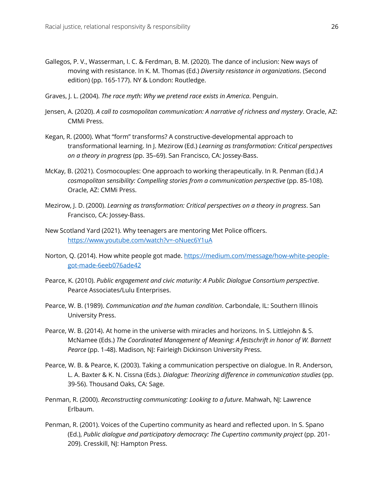- Gallegos, P. V., Wasserman, I. C. & Ferdman, B. M. (2020). The dance of inclusion: New ways of moving with resistance. In K. M. Thomas (Ed.) *Diversity resistance in organizations*. (Second edition) (pp. 165-177). NY & London: Routledge.
- Graves, J. L. (2004). *The race myth: Why we pretend race exists in America*. Penguin.
- Jensen, A. (2020). *A call to cosmopolitan communication: A narrative of richness and mystery*. Oracle, AZ: CMMi Press.
- Kegan, R. (2000). What "form" transforms? A constructive-developmental approach to transformational learning. In J. Mezirow (Ed.) *Learning as transformation: Critical perspectives on a theory in progress* (pp. 35–69). San Francisco, CA: Jossey-Bass.
- McKay, B. (2021). Cosmocouples: One approach to working therapeutically. In R. Penman (Ed.) *A cosmopolitan sensibility: Compelling stories from a communication perspective* (pp. 85-108). Oracle, AZ: CMMi Press.
- Mezirow, J. D. (2000). *Learning as transformation: Critical perspectives on a theory in progress*. San Francisco, CA: Jossey-Bass.
- New Scotland Yard (2021). Why teenagers are mentoring Met Police officers. https://www.youtube.com/watch?v=-oNuec6Y1uA
- Norton, Q. (2014). How white people got made. https://medium.com/message/how-white-peoplegot-made-6eeb076ade42
- Pearce, K. (2010). *Public engagement and civic maturity: A Public Dialogue Consortium perspective*. Pearce Associates/Lulu Enterprises.
- Pearce, W. B. (1989). *Communication and the human condition*. Carbondale, IL: Southern Illinois University Press.
- Pearce, W. B. (2014). At home in the universe with miracles and horizons. In S. Littlejohn & S. McNamee (Eds.) *The Coordinated Management of Meaning: A festschrift in honor of W. Barnett Pearce* (pp. 1-48). Madison, NJ: Fairleigh Dickinson University Press.
- Pearce, W. B. & Pearce, K. (2003). Taking a communication perspective on dialogue. In R. Anderson, L. A. Baxter & K. N. Cissna (Eds.). *Dialogue: Theorizing difference in communication studies* (pp. 39-56). Thousand Oaks, CA: Sage.
- Penman, R. (2000). *Reconstructing communicating: Looking to a future*. Mahwah, NJ: Lawrence Erlbaum.
- Penman, R. (2001). Voices of the Cupertino community as heard and reflected upon. In S. Spano (Ed.), *Public dialogue and participatory democracy: The Cupertino community project* (pp. 201- 209). Cresskill, NJ: Hampton Press.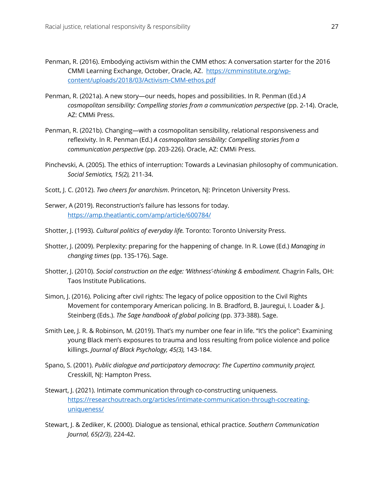- Penman, R. (2016). Embodying activism within the CMM ethos: A conversation starter for the 2016 CMMI Learning Exchange, October, Oracle, AZ. https://cmminstitute.org/wpcontent/uploads/2018/03/Activism-CMM-ethos.pdf
- Penman, R. (2021a). A new story—our needs, hopes and possibilities. In R. Penman (Ed.) *A cosmopolitan sensibility: Compelling stories from a communication perspective* (pp. 2-14). Oracle, AZ: CMMi Press.
- Penman, R. (2021b). Changing—with a cosmopolitan sensibility, relational responsiveness and reflexivity. In R. Penman (Ed.) *A cosmopolitan sensibility: Compelling stories from a communication perspective* (pp. 203-226). Oracle, AZ: CMMi Press.
- Pinchevski, A. (2005). The ethics of interruption: Towards a Levinasian philosophy of communication. *Social Semiotics, 15(2),* 211-34.
- Scott, J. C. (2012). *Two cheers for anarchism*. Princeton, NJ: Princeton University Press.
- Serwer, A (2019). Reconstruction's failure has lessons for today. https://amp.theatlantic.com/amp/article/600784/
- Shotter, J. (1993). *Cultural politics of everyday life.* Toronto: Toronto University Press.
- Shotter, J. (2009). Perplexity: preparing for the happening of change. In R. Lowe (Ed.) *Managing in changing times* (pp. 135-176). Sage.
- Shotter, J. (2010). *Social construction on the edge: 'Withness'-thinking & embodiment.* Chagrin Falls, OH: Taos Institute Publications.
- Simon, J. (2016). Policing after civil rights: The legacy of police opposition to the Civil Rights Movement for contemporary American policing. In B. Bradford, B. Jauregui, I. Loader & J. Steinberg (Eds.). *The Sage handbook of global policing* (pp. 373-388). Sage.
- Smith Lee, J. R. & Robinson, M. (2019). That's my number one fear in life. "It's the police": Examining young Black men's exposures to trauma and loss resulting from police violence and police killings. *Journal of Black Psychology, 45(3),* 143-184.
- Spano, S. (2001). *Public dialogue and participatory democracy: The Cupertino community project.*  Cresskill, NJ: Hampton Press.
- Stewart, J. (2021). Intimate communication through co-constructing uniqueness. https://researchoutreach.org/articles/intimate-communication-through-cocreatinguniqueness/
- Stewart, J. & Zediker, K. (2000). Dialogue as tensional, ethical practice. *Southern Communication Journal, 65(2/3)*, 224-42.